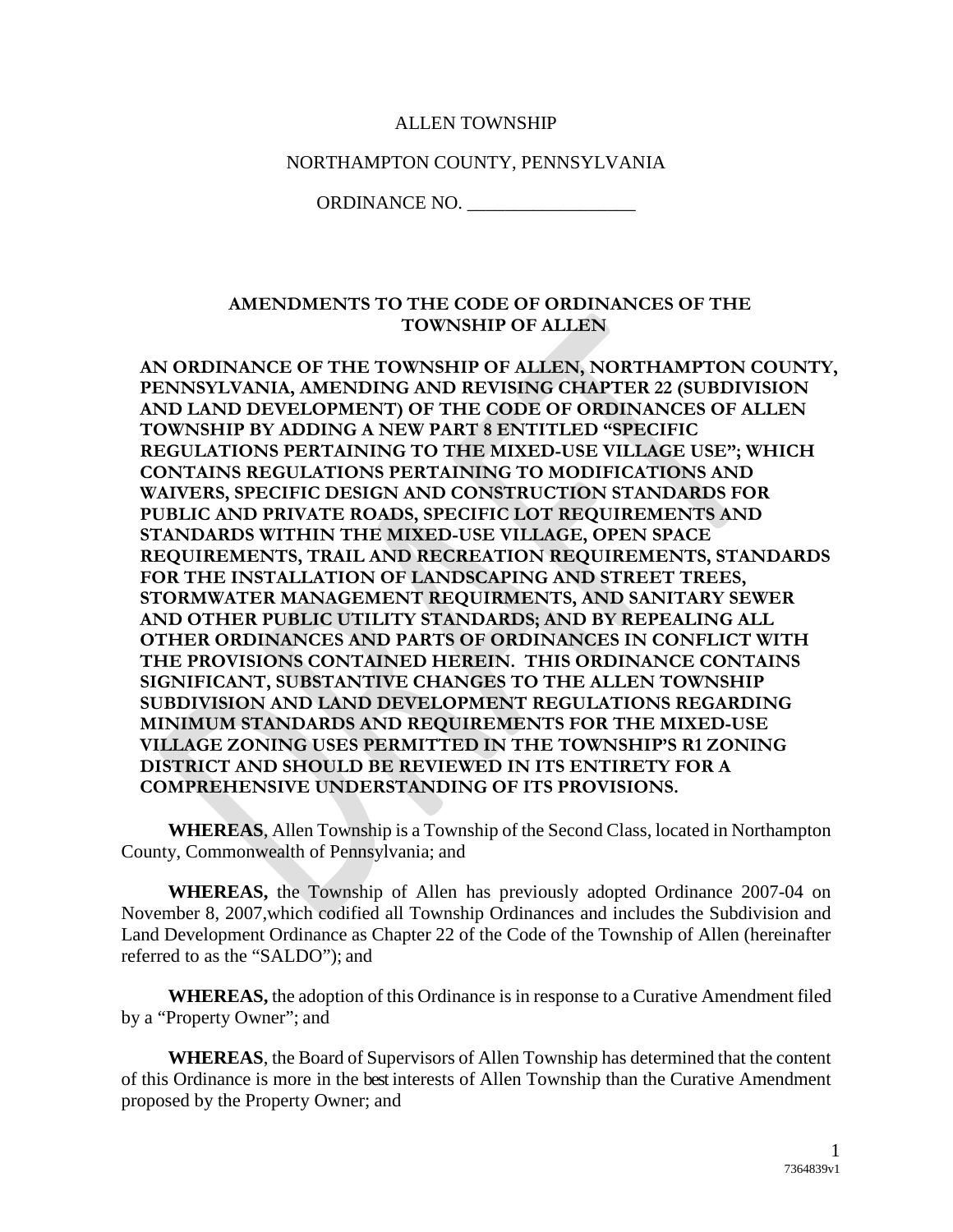#### ALLEN TOWNSHIP

#### NORTHAMPTON COUNTY, PENNSYLVANIA

ORDINANCE NO.

### **AMENDMENTS TO THE CODE OF ORDINANCES OF THE TOWNSHIP OF ALLEN**

**AN ORDINANCE OF THE TOWNSHIP OF ALLEN, NORTHAMPTON COUNTY, PENNSYLVANIA, AMENDING AND REVISING CHAPTER 22 (SUBDIVISION AND LAND DEVELOPMENT) OF THE CODE OF ORDINANCES OF ALLEN TOWNSHIP BY ADDING A NEW PART 8 ENTITLED "SPECIFIC REGULATIONS PERTAINING TO THE MIXED-USE VILLAGE USE"; WHICH CONTAINS REGULATIONS PERTAINING TO MODIFICATIONS AND WAIVERS, SPECIFIC DESIGN AND CONSTRUCTION STANDARDS FOR PUBLIC AND PRIVATE ROADS, SPECIFIC LOT REQUIREMENTS AND STANDARDS WITHIN THE MIXED-USE VILLAGE, OPEN SPACE REQUIREMENTS, TRAIL AND RECREATION REQUIREMENTS, STANDARDS FOR THE INSTALLATION OF LANDSCAPING AND STREET TREES, STORMWATER MANAGEMENT REQUIRMENTS, AND SANITARY SEWER AND OTHER PUBLIC UTILITY STANDARDS; AND BY REPEALING ALL OTHER ORDINANCES AND PARTS OF ORDINANCES IN CONFLICT WITH THE PROVISIONS CONTAINED HEREIN. THIS ORDINANCE CONTAINS SIGNIFICANT, SUBSTANTIVE CHANGES TO THE ALLEN TOWNSHIP SUBDIVISION AND LAND DEVELOPMENT REGULATIONS REGARDING MINIMUM STANDARDS AND REQUIREMENTS FOR THE MIXED-USE VILLAGE ZONING USES PERMITTED IN THE TOWNSHIP'S R1 ZONING DISTRICT AND SHOULD BE REVIEWED IN ITS ENTIRETY FOR A COMPREHENSIVE UNDERSTANDING OF ITS PROVISIONS.** 

**WHEREAS**, Allen Township is a Township of the Second Class, located in Northampton County, Commonwealth of Pennsylvania; and

**WHEREAS,** the Township of Allen has previously adopted Ordinance 2007-04 on November 8, 2007,which codified all Township Ordinances and includes the Subdivision and Land Development Ordinance as Chapter 22 of the Code of the Township of Allen (hereinafter referred to as the "SALDO"); and

**WHEREAS,** the adoption of this Ordinance is in response to a Curative Amendment filed by a "Property Owner"; and

**WHEREAS**, the Board of Supervisors of Allen Township has determined that the content of this Ordinance is more in the best interests of Allen Township than the Curative Amendment proposed by the Property Owner; and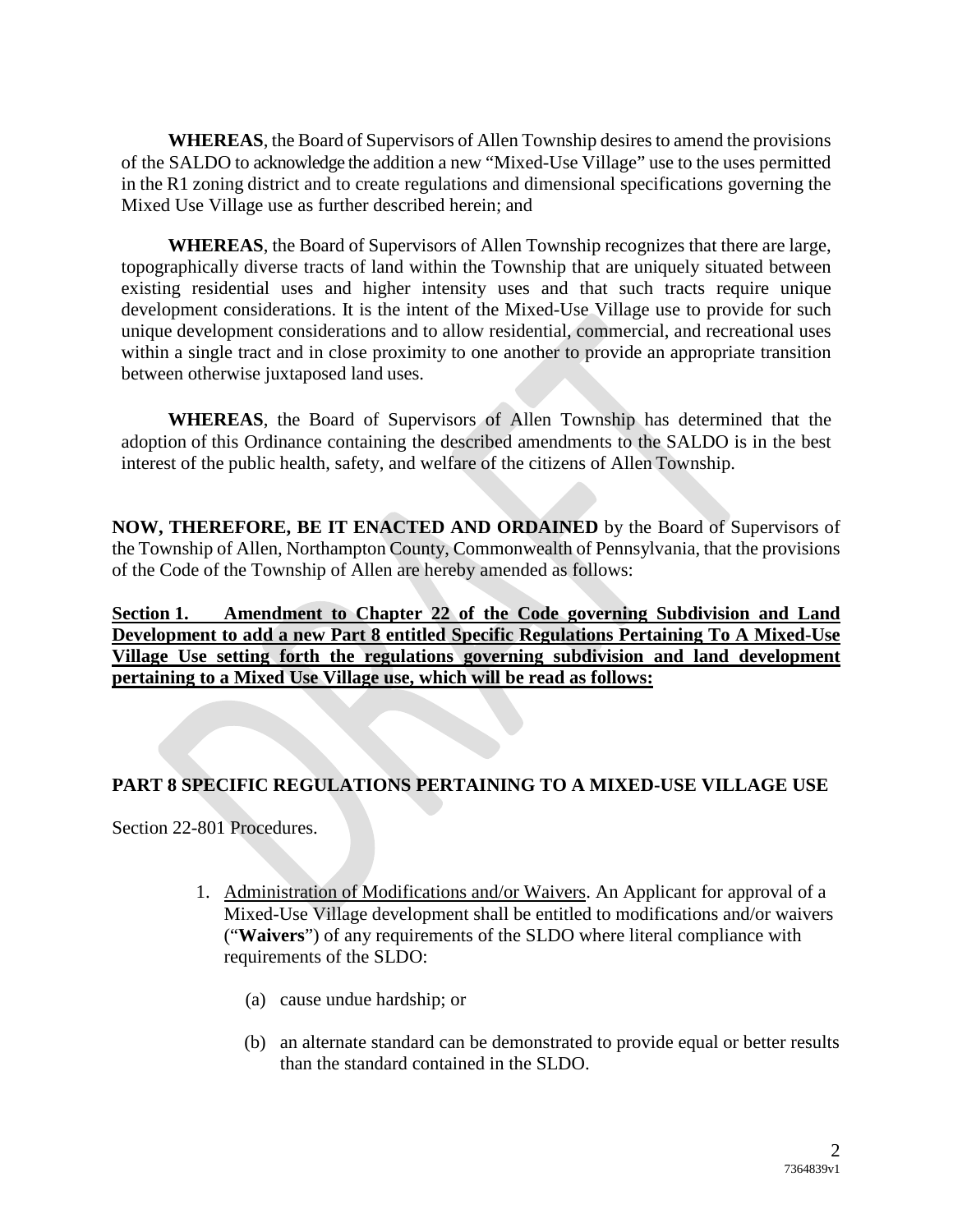**WHEREAS**, the Board of Supervisors of Allen Township desires to amend the provisions of the SALDO to acknowledge the addition a new "Mixed-Use Village" use to the uses permitted in the R1 zoning district and to create regulations and dimensional specifications governing the Mixed Use Village use as further described herein; and

**WHEREAS**, the Board of Supervisors of Allen Township recognizes that there are large, topographically diverse tracts of land within the Township that are uniquely situated between existing residential uses and higher intensity uses and that such tracts require unique development considerations. It is the intent of the Mixed-Use Village use to provide for such unique development considerations and to allow residential, commercial, and recreational uses within a single tract and in close proximity to one another to provide an appropriate transition between otherwise juxtaposed land uses.

**WHEREAS**, the Board of Supervisors of Allen Township has determined that the adoption of this Ordinance containing the described amendments to the SALDO is in the best interest of the public health, safety, and welfare of the citizens of Allen Township.

**NOW, THEREFORE, BE IT ENACTED AND ORDAINED** by the Board of Supervisors of the Township of Allen, Northampton County, Commonwealth of Pennsylvania, that the provisions of the Code of the Township of Allen are hereby amended as follows:

**Section 1. Amendment to Chapter 22 of the Code governing Subdivision and Land Development to add a new Part 8 entitled Specific Regulations Pertaining To A Mixed-Use Village Use setting forth the regulations governing subdivision and land development pertaining to a Mixed Use Village use, which will be read as follows:**

### **PART 8 SPECIFIC REGULATIONS PERTAINING TO A MIXED-USE VILLAGE USE**

Section 22-801 Procedures.

- 1. Administration of Modifications and/or Waivers. An Applicant for approval of a Mixed-Use Village development shall be entitled to modifications and/or waivers ("**Waivers**") of any requirements of the SLDO where literal compliance with requirements of the SLDO:
	- (a) cause undue hardship; or
	- (b) an alternate standard can be demonstrated to provide equal or better results than the standard contained in the SLDO.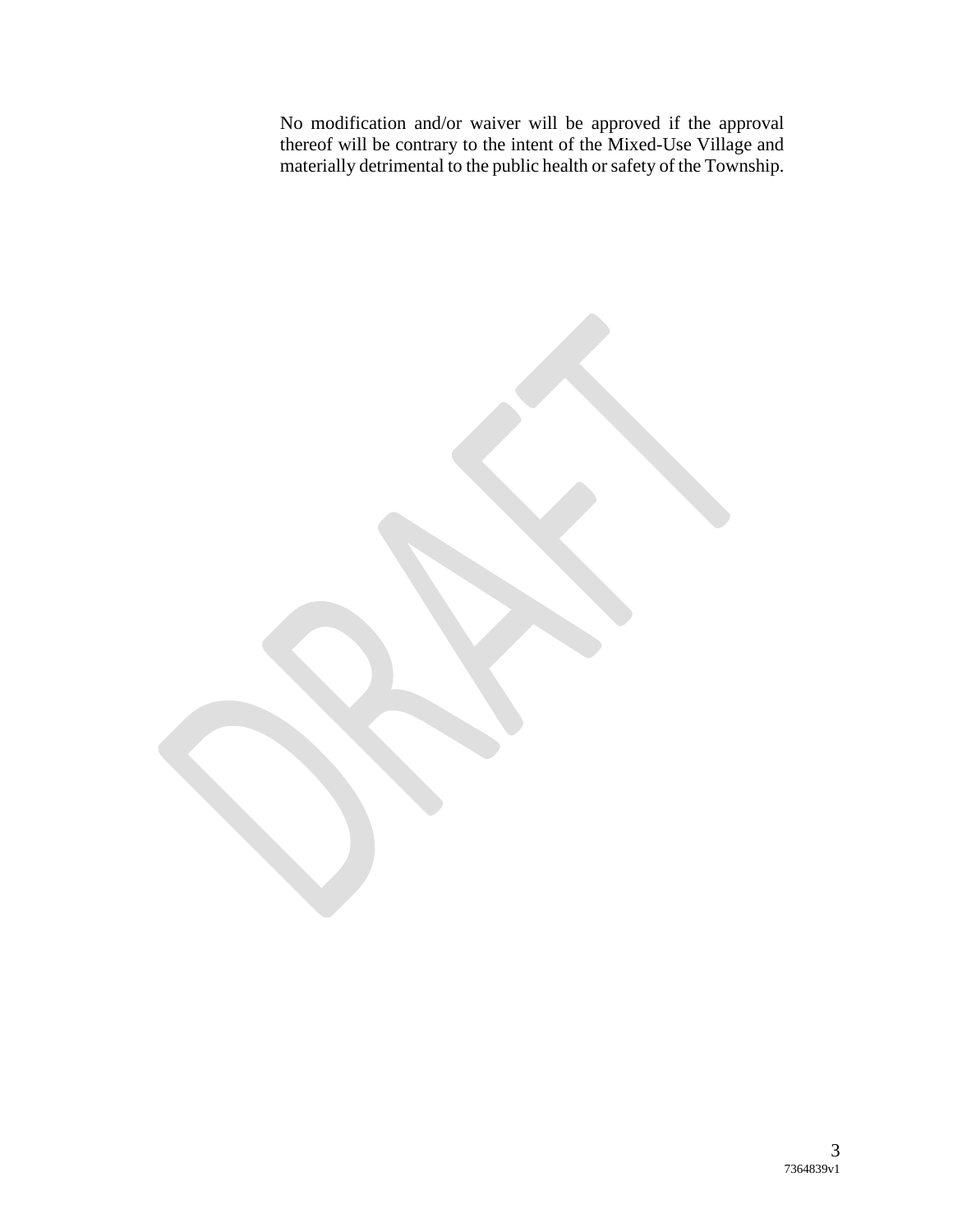No modification and/or waiver will be approved if the approval thereof will be contrary to the intent of the Mixed-Use Village and materially detrimental to the public health or safety of the Township.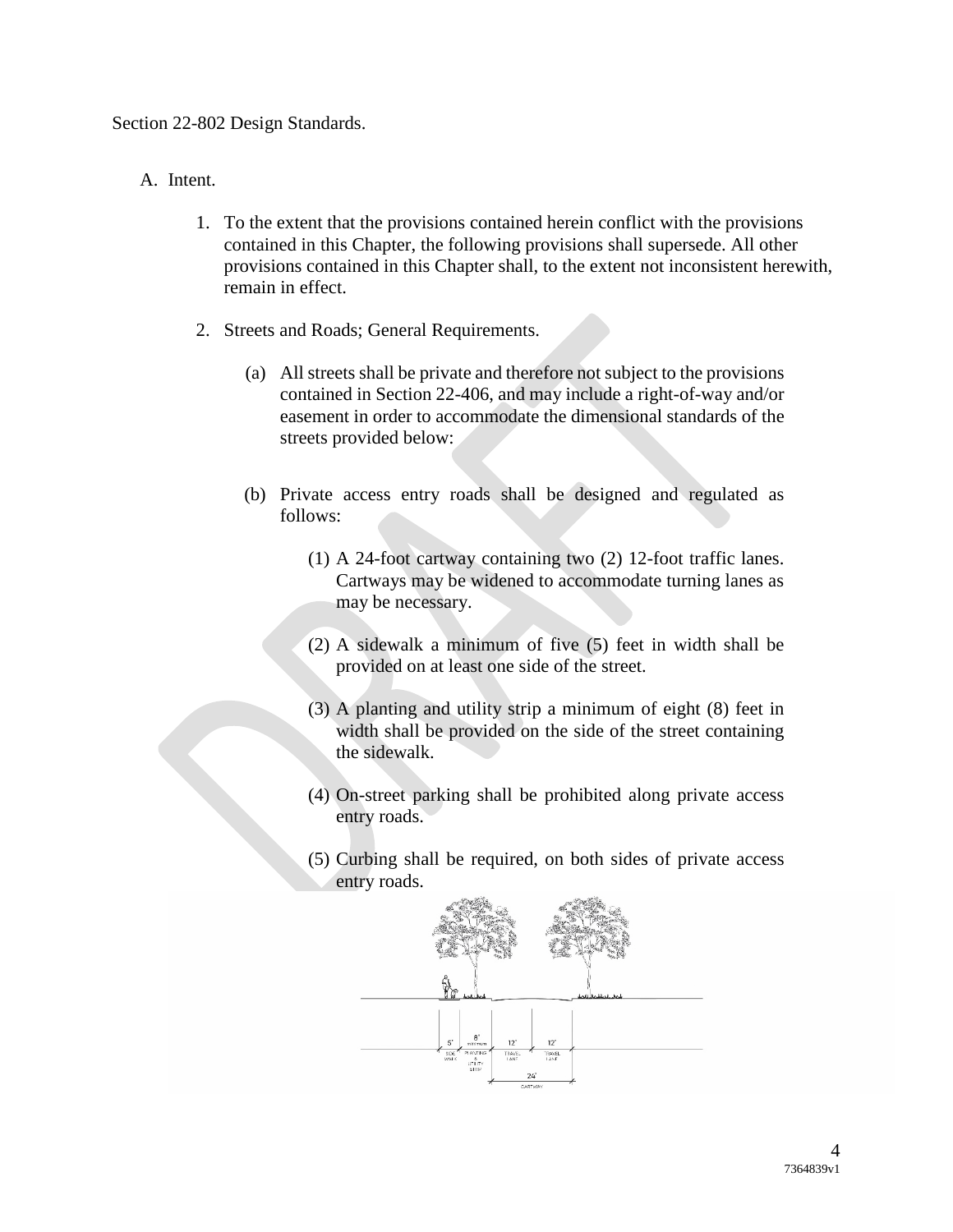Section 22-802 Design Standards.

## A. Intent.

- 1. To the extent that the provisions contained herein conflict with the provisions contained in this Chapter, the following provisions shall supersede. All other provisions contained in this Chapter shall, to the extent not inconsistent herewith, remain in effect.
- 2. Streets and Roads; General Requirements.
	- (a) All streets shall be private and therefore not subject to the provisions contained in Section 22-406, and may include a right-of-way and/or easement in order to accommodate the dimensional standards of the streets provided below:
	- (b) Private access entry roads shall be designed and regulated as follows:
		- (1) A 24-foot cartway containing two (2) 12-foot traffic lanes. Cartways may be widened to accommodate turning lanes as may be necessary.
		- (2) A sidewalk a minimum of five (5) feet in width shall be provided on at least one side of the street.
		- (3) A planting and utility strip a minimum of eight (8) feet in width shall be provided on the side of the street containing the sidewalk.
		- (4) On-street parking shall be prohibited along private access entry roads.
		- (5) Curbing shall be required, on both sides of private access entry roads.

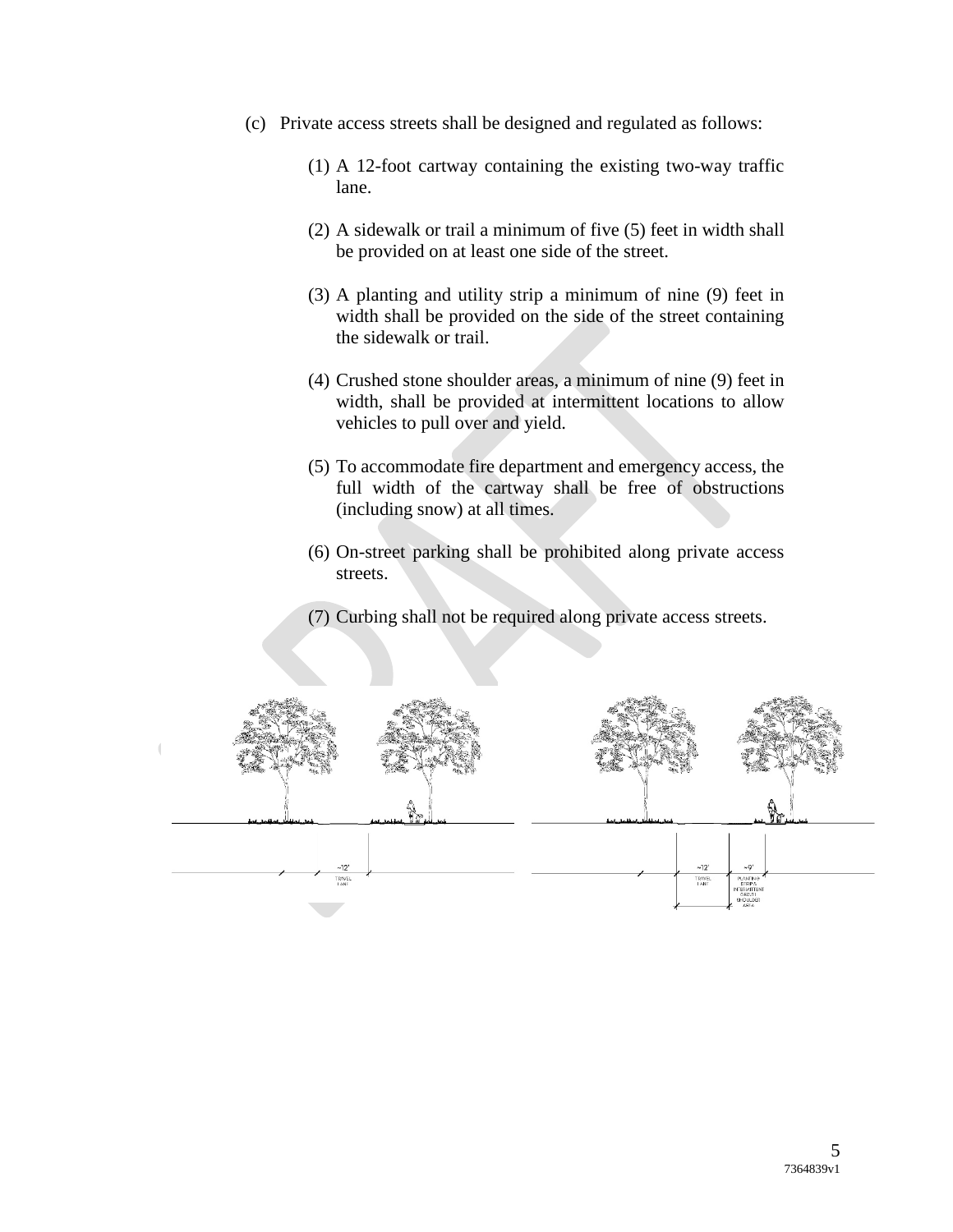- (c) Private access streets shall be designed and regulated as follows:
	- (1) A 12-foot cartway containing the existing two-way traffic lane.
	- (2) A sidewalk or trail a minimum of five (5) feet in width shall be provided on at least one side of the street.
	- (3) A planting and utility strip a minimum of nine (9) feet in width shall be provided on the side of the street containing the sidewalk or trail.
	- (4) Crushed stone shoulder areas, a minimum of nine (9) feet in width, shall be provided at intermittent locations to allow vehicles to pull over and yield.
	- (5) To accommodate fire department and emergency access, the full width of the cartway shall be free of obstructions (including snow) at all times.
	- (6) On-street parking shall be prohibited along private access streets.
	- (7) Curbing shall not be required along private access streets.

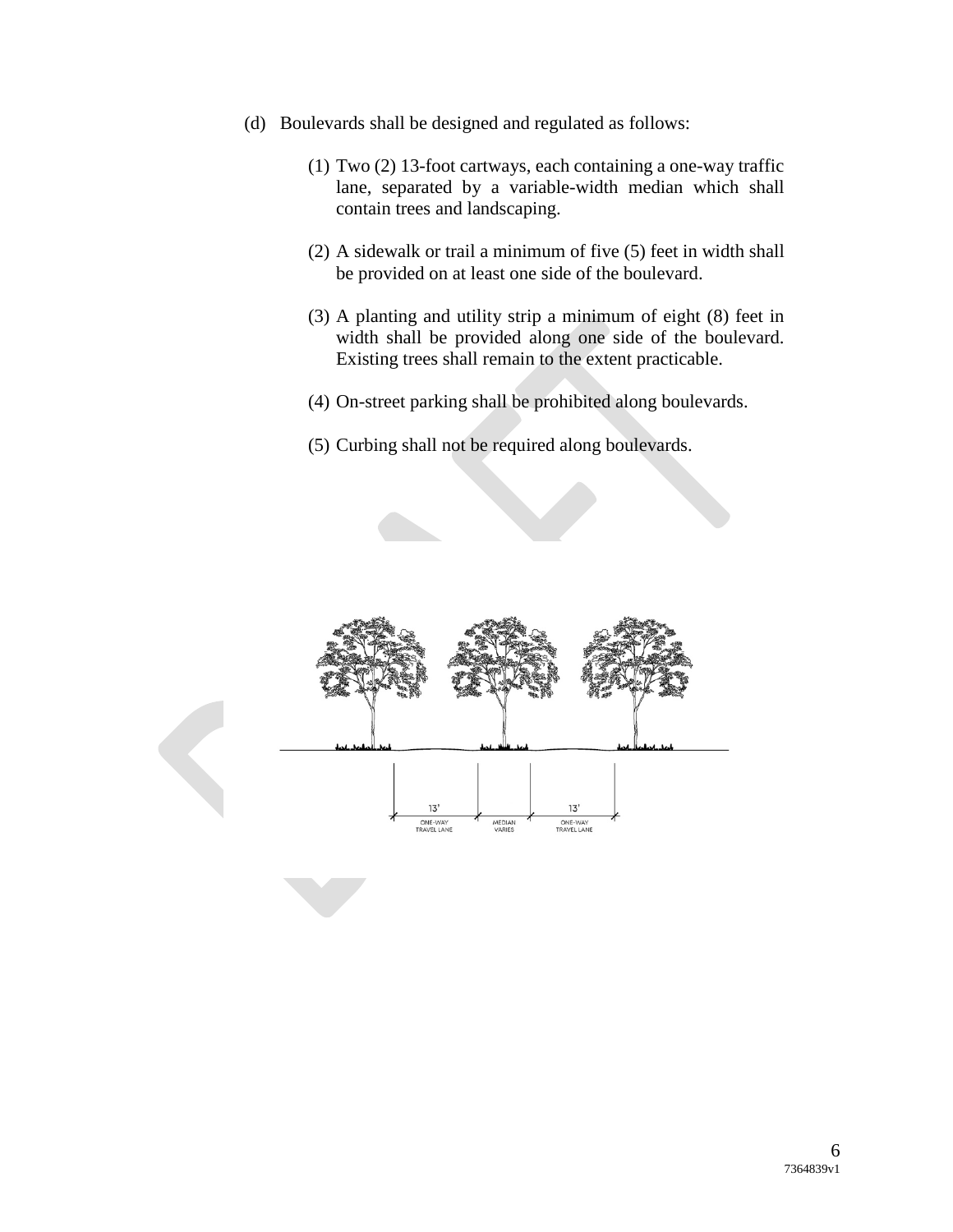- (d) Boulevards shall be designed and regulated as follows:
	- (1) Two (2) 13-foot cartways, each containing a one-way traffic lane, separated by a variable-width median which shall contain trees and landscaping.
	- (2) A sidewalk or trail a minimum of five (5) feet in width shall be provided on at least one side of the boulevard.
	- (3) A planting and utility strip a minimum of eight (8) feet in width shall be provided along one side of the boulevard. Existing trees shall remain to the extent practicable.
	- (4) On-street parking shall be prohibited along boulevards.
	- (5) Curbing shall not be required along boulevards.

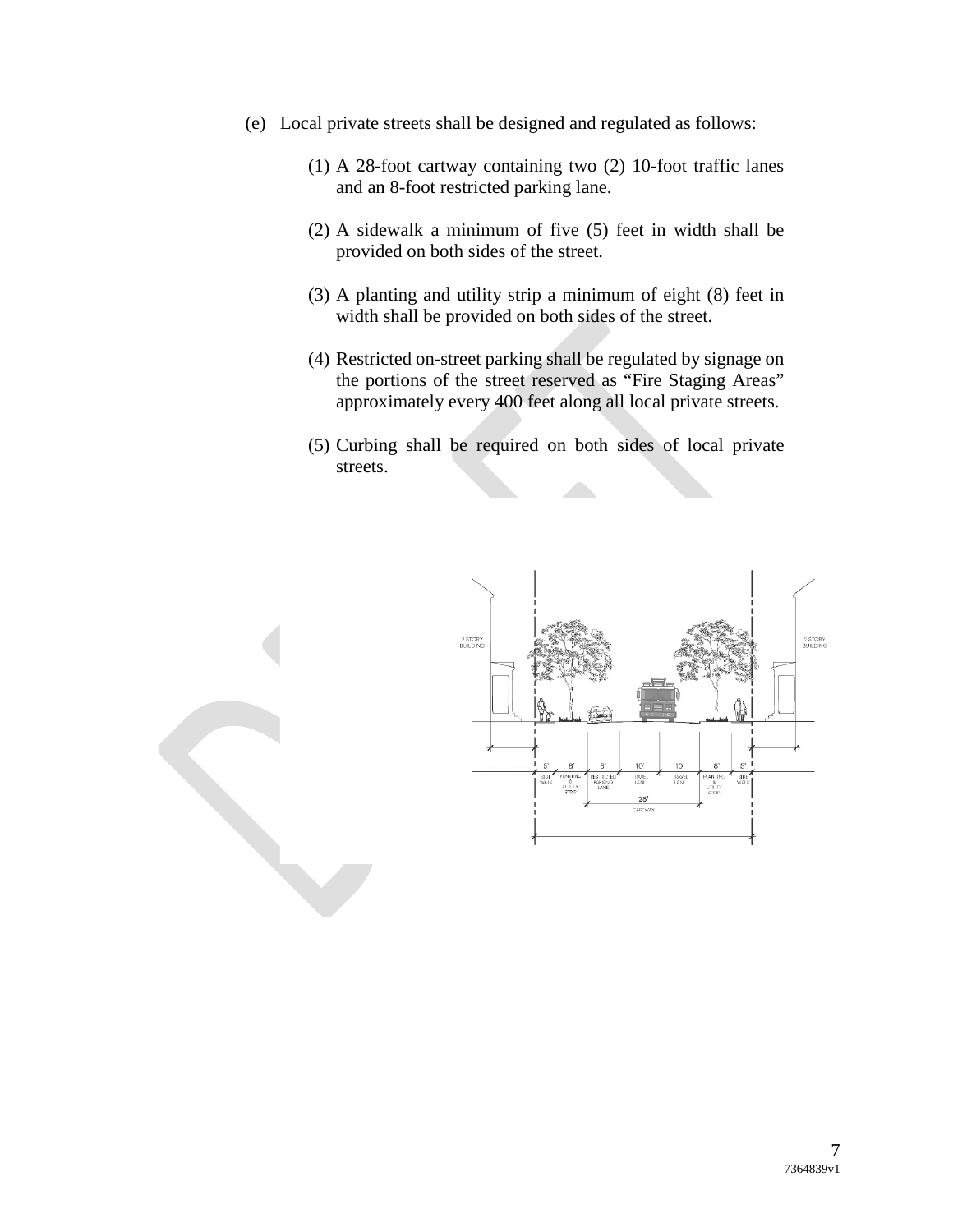- (e) Local private streets shall be designed and regulated as follows:
	- (1) A 28-foot cartway containing two (2) 10-foot traffic lanes and an 8-foot restricted parking lane.
	- (2) A sidewalk a minimum of five (5) feet in width shall be provided on both sides of the street.
	- (3) A planting and utility strip a minimum of eight (8) feet in width shall be provided on both sides of the street.
	- (4) Restricted on-street parking shall be regulated by signage on the portions of the street reserved as "Fire Staging Areas" approximately every 400 feet along all local private streets.
	- (5) Curbing shall be required on both sides of local private streets.

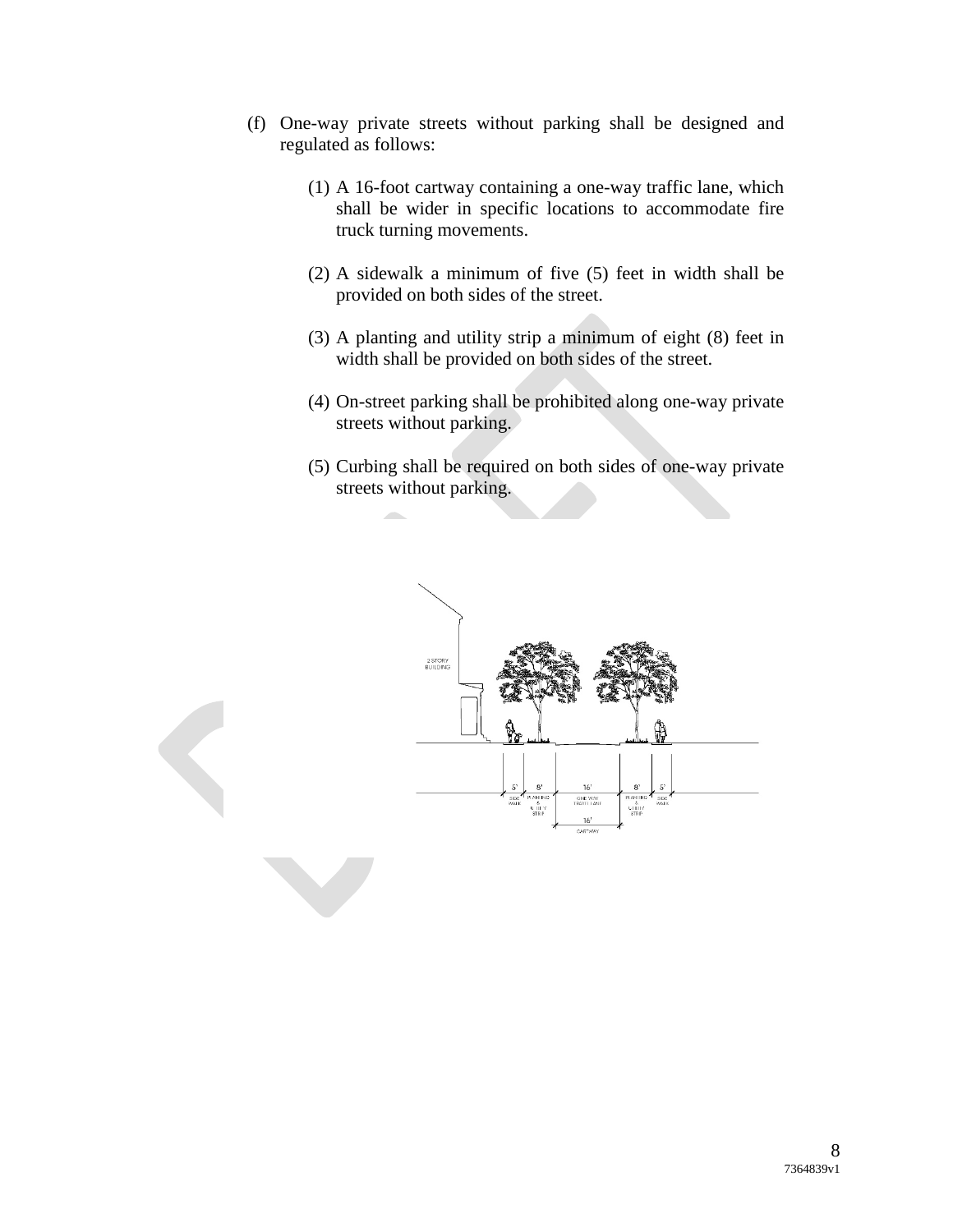- (f) One-way private streets without parking shall be designed and regulated as follows:
	- (1) A 16-foot cartway containing a one-way traffic lane, which shall be wider in specific locations to accommodate fire truck turning movements.
	- (2) A sidewalk a minimum of five (5) feet in width shall be provided on both sides of the street.
	- (3) A planting and utility strip a minimum of eight (8) feet in width shall be provided on both sides of the street.
	- (4) On-street parking shall be prohibited along one-way private streets without parking.
	- (5) Curbing shall be required on both sides of one-way private streets without parking.

**College** 

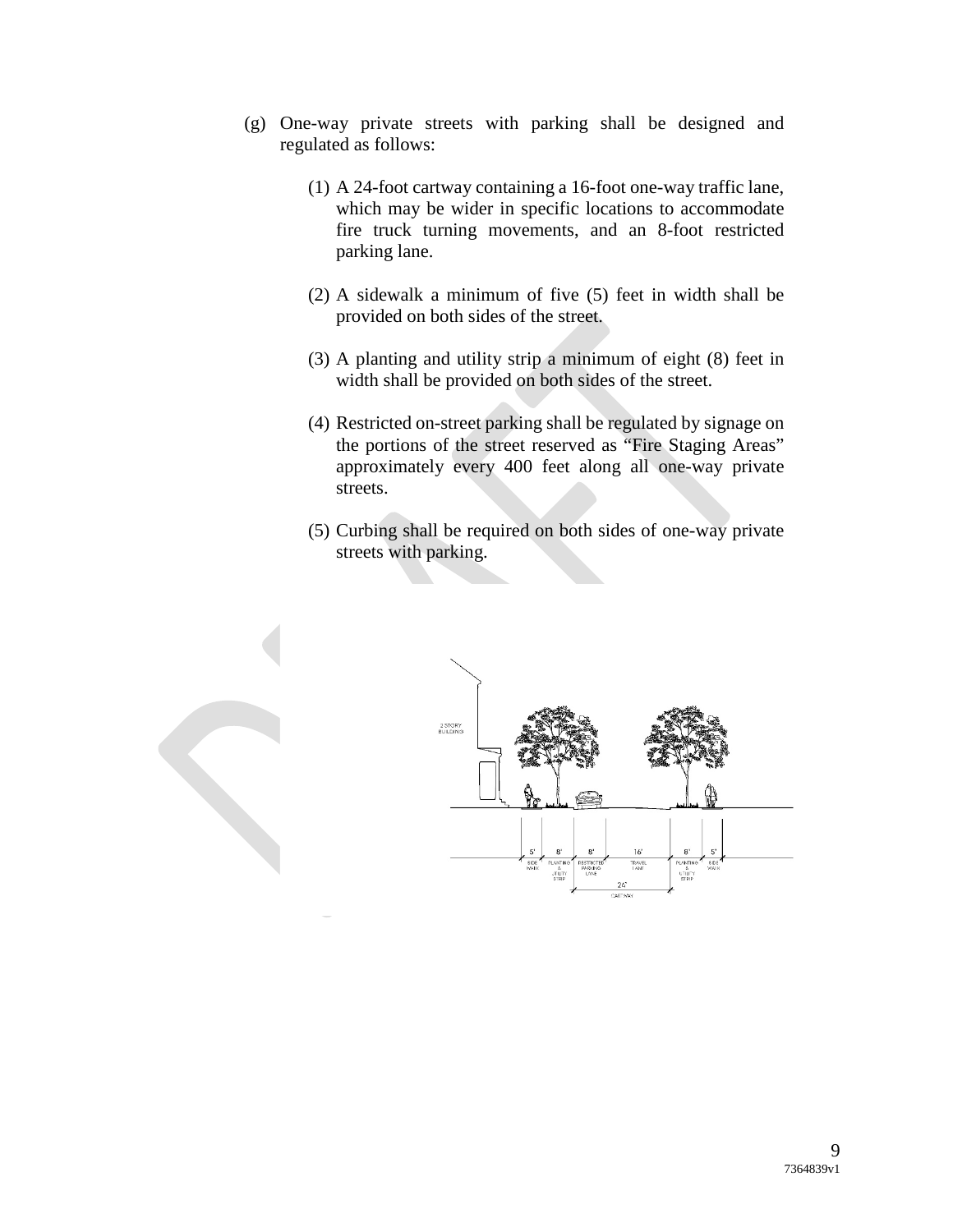- (g) One-way private streets with parking shall be designed and regulated as follows:
	- (1) A 24-foot cartway containing a 16-foot one-way traffic lane, which may be wider in specific locations to accommodate fire truck turning movements, and an 8-foot restricted parking lane.
	- (2) A sidewalk a minimum of five (5) feet in width shall be provided on both sides of the street.
	- (3) A planting and utility strip a minimum of eight (8) feet in width shall be provided on both sides of the street.
	- (4) Restricted on-street parking shall be regulated by signage on the portions of the street reserved as "Fire Staging Areas" approximately every 400 feet along all one-way private streets.
	- (5) Curbing shall be required on both sides of one-way private streets with parking.

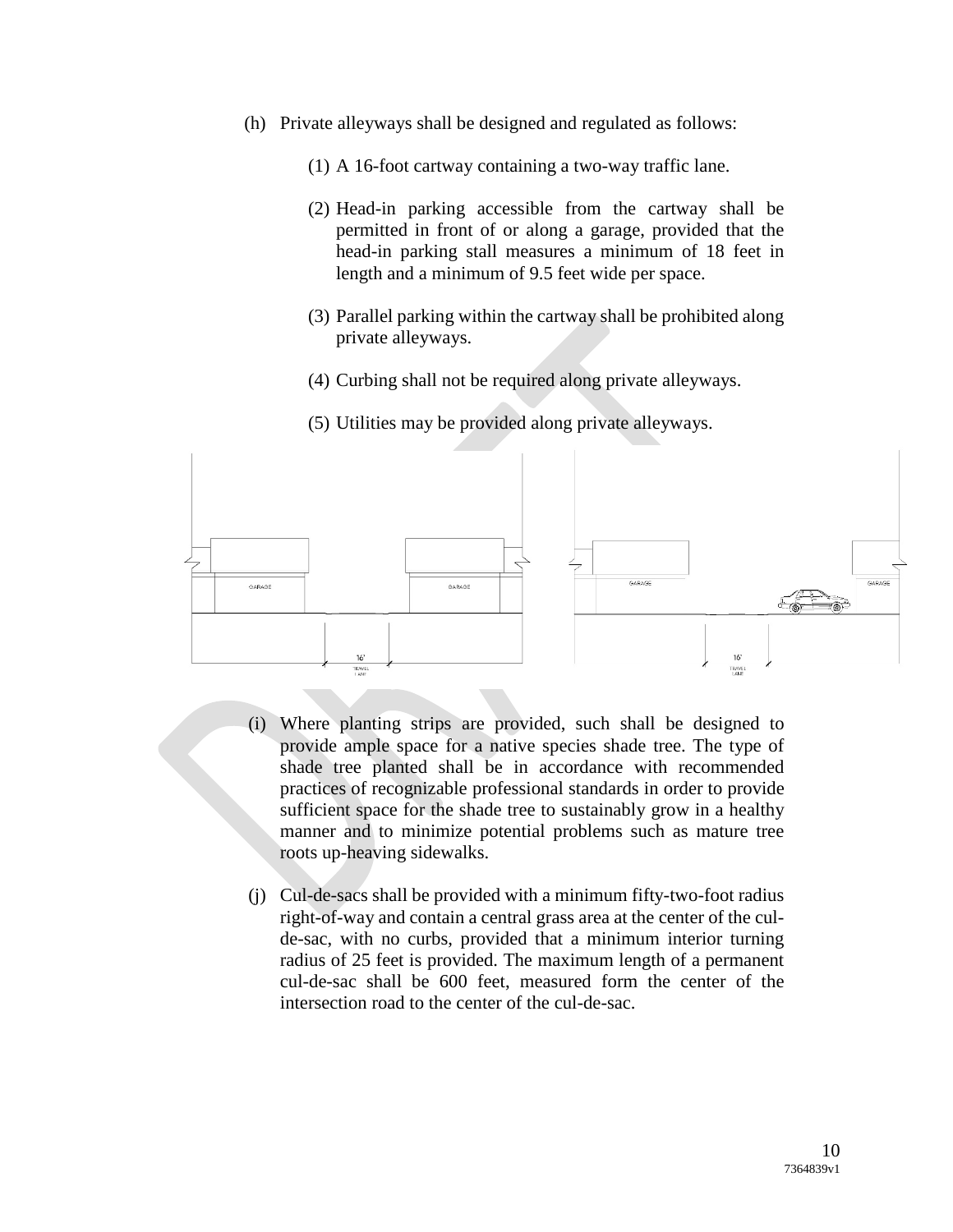- (h) Private alleyways shall be designed and regulated as follows:
	- (1) A 16-foot cartway containing a two-way traffic lane.
	- (2) Head-in parking accessible from the cartway shall be permitted in front of or along a garage, provided that the head-in parking stall measures a minimum of 18 feet in length and a minimum of 9.5 feet wide per space.
	- (3) Parallel parking within the cartway shall be prohibited along private alleyways.
	- (4) Curbing shall not be required along private alleyways.
	- (5) Utilities may be provided along private alleyways.



- (i) Where planting strips are provided, such shall be designed to provide ample space for a native species shade tree. The type of shade tree planted shall be in accordance with recommended practices of recognizable professional standards in order to provide sufficient space for the shade tree to sustainably grow in a healthy manner and to minimize potential problems such as mature tree roots up-heaving sidewalks.
- (j) Cul-de-sacs shall be provided with a minimum fifty-two-foot radius right-of-way and contain a central grass area at the center of the culde-sac, with no curbs, provided that a minimum interior turning radius of 25 feet is provided. The maximum length of a permanent cul-de-sac shall be 600 feet, measured form the center of the intersection road to the center of the cul-de-sac.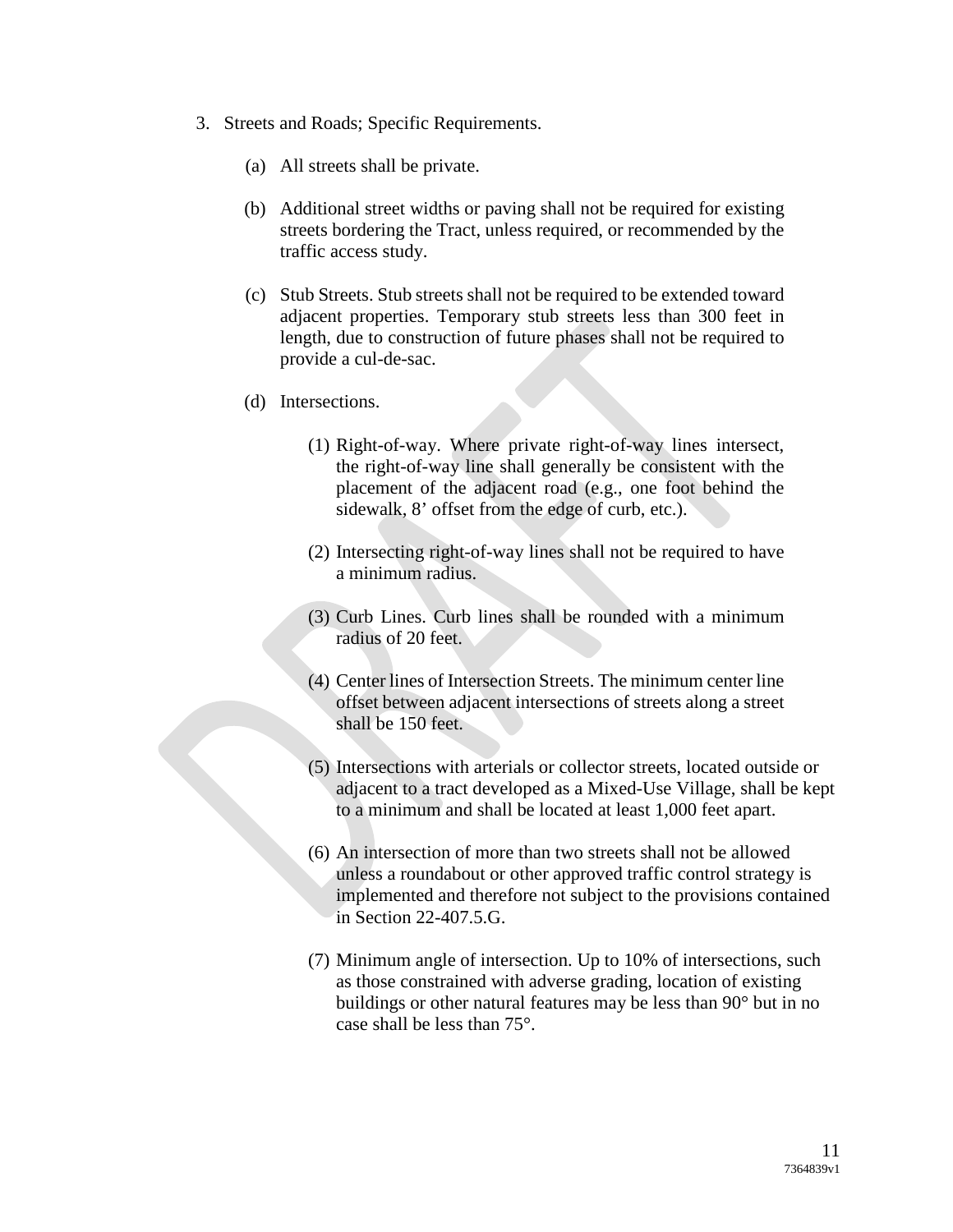- 3. Streets and Roads; Specific Requirements.
	- (a) All streets shall be private.
	- (b) Additional street widths or paving shall not be required for existing streets bordering the Tract, unless required, or recommended by the traffic access study.
	- (c) Stub Streets. Stub streets shall not be required to be extended toward adjacent properties. Temporary stub streets less than 300 feet in length, due to construction of future phases shall not be required to provide a cul-de-sac.
	- (d) Intersections.
		- (1) Right-of-way. Where private right-of-way lines intersect, the right-of-way line shall generally be consistent with the placement of the adjacent road (e.g., one foot behind the sidewalk, 8' offset from the edge of curb, etc.).
		- (2) Intersecting right-of-way lines shall not be required to have a minimum radius.
		- (3) Curb Lines. Curb lines shall be rounded with a minimum radius of 20 feet.
		- (4) Center lines of Intersection Streets. The minimum center line offset between adjacent intersections of streets along a street shall be 150 feet.
		- (5) Intersections with arterials or collector streets, located outside or adjacent to a tract developed as a Mixed-Use Village, shall be kept to a minimum and shall be located at least 1,000 feet apart.
		- (6) An intersection of more than two streets shall not be allowed unless a roundabout or other approved traffic control strategy is implemented and therefore not subject to the provisions contained in Section 22-407.5.G.
		- (7) Minimum angle of intersection. Up to 10% of intersections, such as those constrained with adverse grading, location of existing buildings or other natural features may be less than 90° but in no case shall be less than 75°.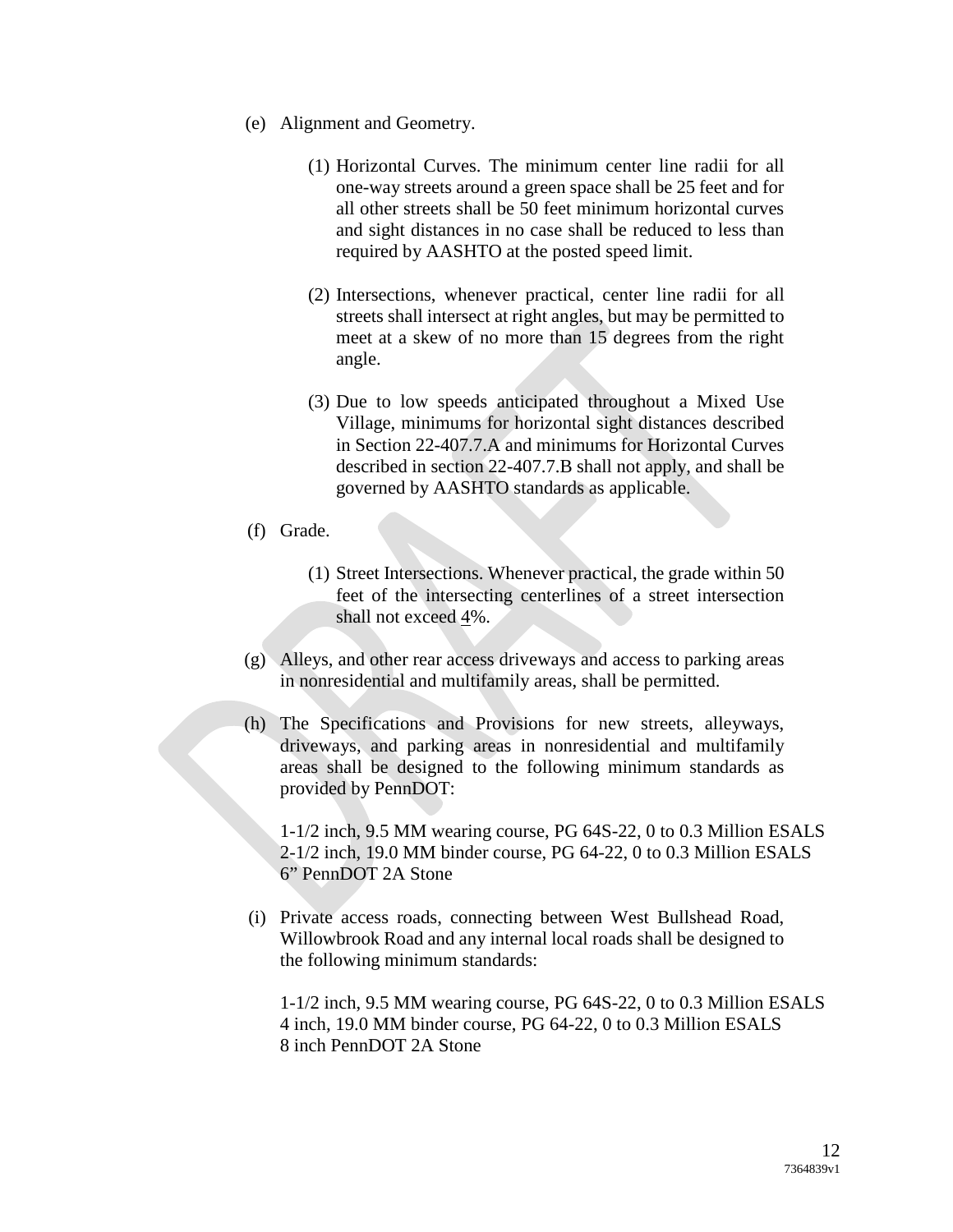- (e) Alignment and Geometry.
	- (1) Horizontal Curves. The minimum center line radii for all one-way streets around a green space shall be 25 feet and for all other streets shall be 50 feet minimum horizontal curves and sight distances in no case shall be reduced to less than required by AASHTO at the posted speed limit.
	- (2) Intersections, whenever practical, center line radii for all streets shall intersect at right angles, but may be permitted to meet at a skew of no more than 15 degrees from the right angle.
	- (3) Due to low speeds anticipated throughout a Mixed Use Village, minimums for horizontal sight distances described in Section 22-407.7.A and minimums for Horizontal Curves described in section 22-407.7.B shall not apply, and shall be governed by AASHTO standards as applicable.
- (f) Grade.
	- (1) Street Intersections. Whenever practical, the grade within 50 feet of the intersecting centerlines of a street intersection shall not exceed 4%.
- (g) Alleys, and other rear access driveways and access to parking areas in nonresidential and multifamily areas, shall be permitted.
- (h) The Specifications and Provisions for new streets, alleyways, driveways, and parking areas in nonresidential and multifamily areas shall be designed to the following minimum standards as provided by PennDOT:

1-1/2 inch, 9.5 MM wearing course, PG 64S-22, 0 to 0.3 Million ESALS 2-1/2 inch, 19.0 MM binder course, PG 64-22, 0 to 0.3 Million ESALS 6" PennDOT 2A Stone

(i) Private access roads, connecting between West Bullshead Road, Willowbrook Road and any internal local roads shall be designed to the following minimum standards:

1-1/2 inch, 9.5 MM wearing course, PG 64S-22, 0 to 0.3 Million ESALS 4 inch, 19.0 MM binder course, PG 64-22, 0 to 0.3 Million ESALS 8 inch PennDOT 2A Stone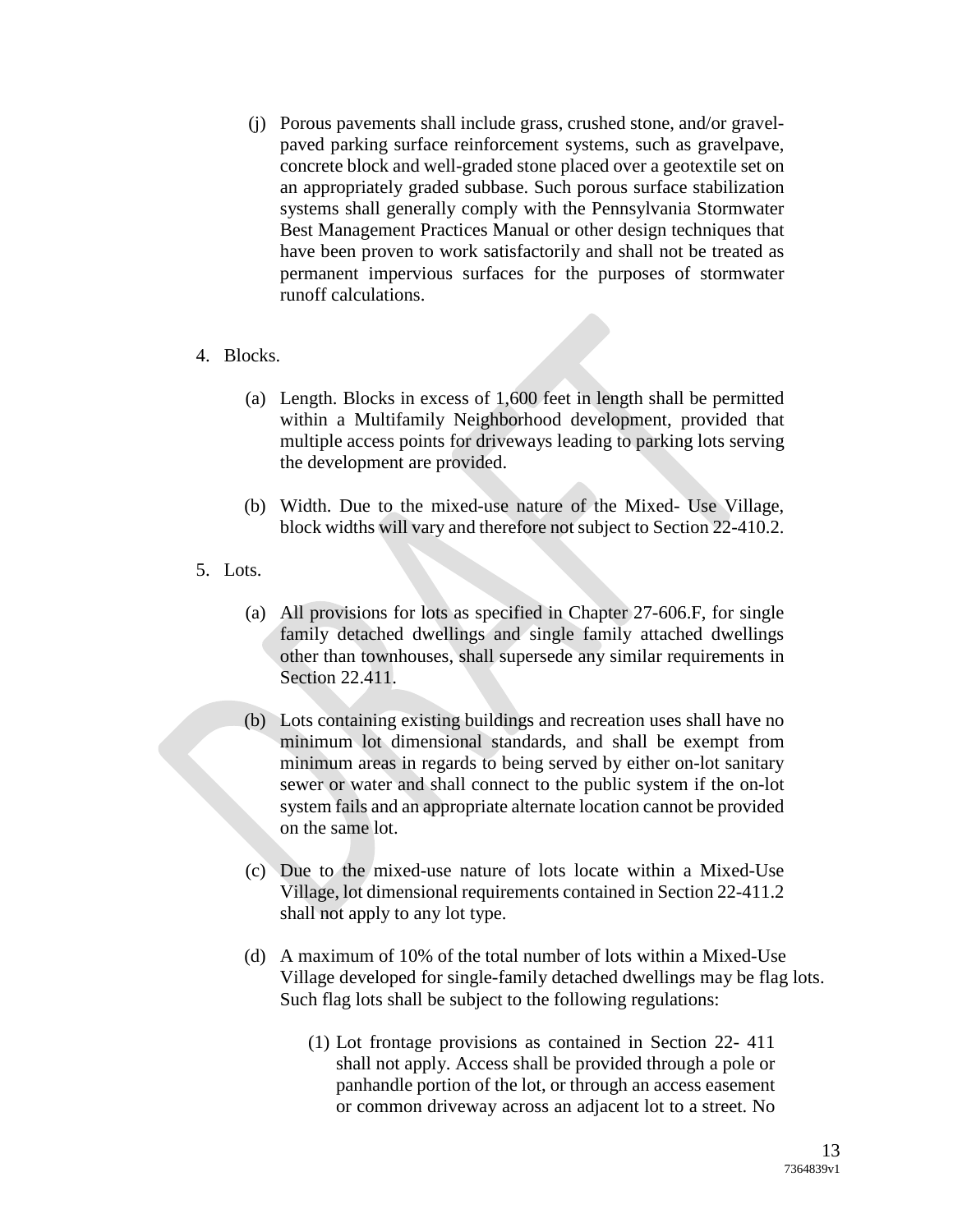- (j) Porous pavements shall include grass, crushed stone, and/or gravelpaved parking surface reinforcement systems, such as gravelpave, concrete block and well-graded stone placed over a geotextile set on an appropriately graded subbase. Such porous surface stabilization systems shall generally comply with the Pennsylvania Stormwater Best Management Practices Manual or other design techniques that have been proven to work satisfactorily and shall not be treated as permanent impervious surfaces for the purposes of stormwater runoff calculations.
- 4. Blocks.
	- (a) Length. Blocks in excess of 1,600 feet in length shall be permitted within a Multifamily Neighborhood development, provided that multiple access points for driveways leading to parking lots serving the development are provided.
	- (b) Width. Due to the mixed-use nature of the Mixed- Use Village, block widths will vary and therefore not subject to Section 22-410.2.
- 5. Lots.
	- (a) All provisions for lots as specified in Chapter 27-606.F, for single family detached dwellings and single family attached dwellings other than townhouses, shall supersede any similar requirements in Section 22.411.
	- (b) Lots containing existing buildings and recreation uses shall have no minimum lot dimensional standards, and shall be exempt from minimum areas in regards to being served by either on-lot sanitary sewer or water and shall connect to the public system if the on-lot system fails and an appropriate alternate location cannot be provided on the same lot.
	- (c) Due to the mixed-use nature of lots locate within a Mixed-Use Village, lot dimensional requirements contained in Section 22-411.2 shall not apply to any lot type.
	- (d) A maximum of 10% of the total number of lots within a Mixed-Use Village developed for single-family detached dwellings may be flag lots. Such flag lots shall be subject to the following regulations:
		- (1) Lot frontage provisions as contained in Section 22- 411 shall not apply. Access shall be provided through a pole or panhandle portion of the lot, or through an access easement or common driveway across an adjacent lot to a street. No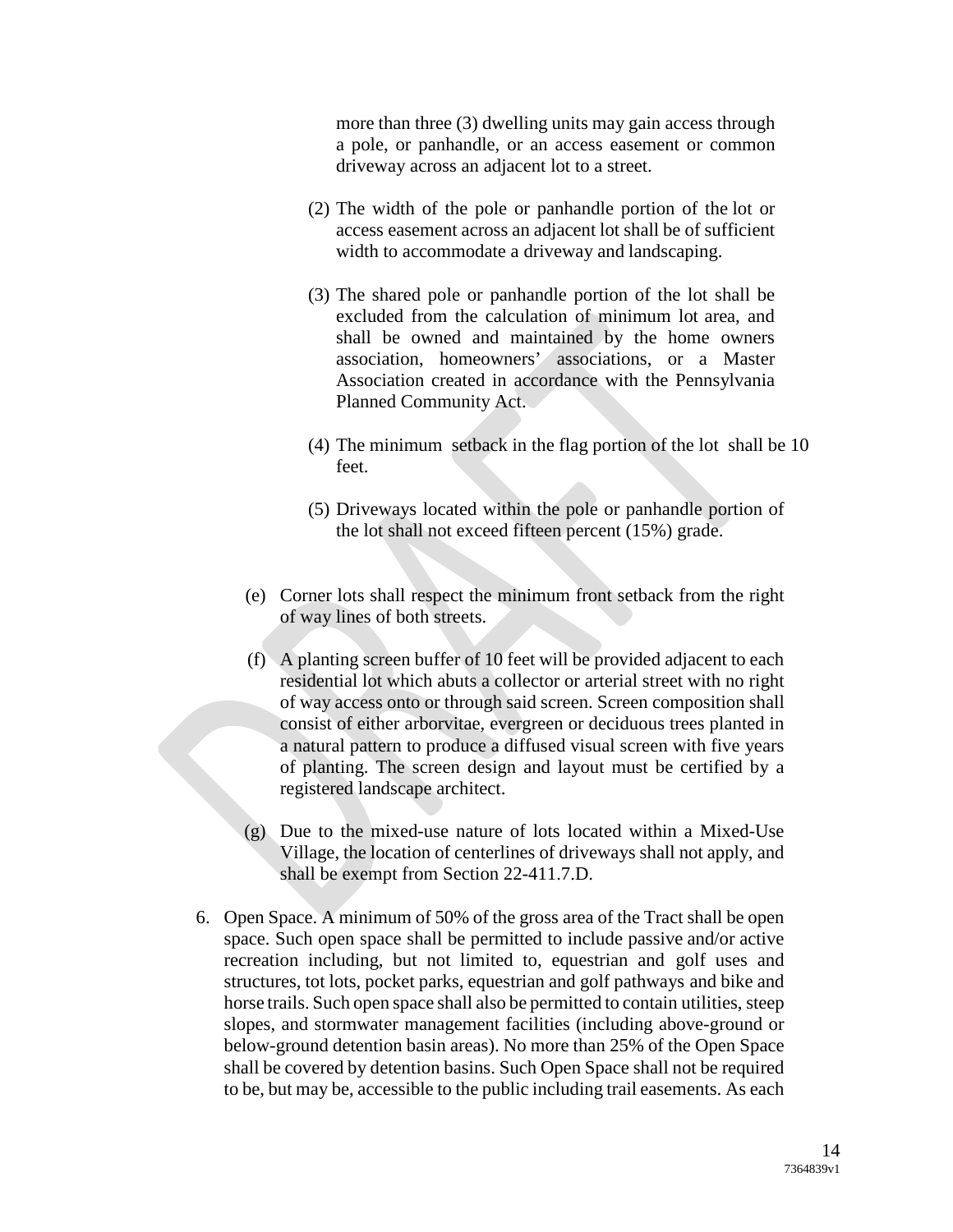more than three (3) dwelling units may gain access through a pole, or panhandle, or an access easement or common driveway across an adjacent lot to a street.

- (2) The width of the pole or panhandle portion of the lot or access easement across an adjacent lot shall be of sufficient width to accommodate a driveway and landscaping.
- (3) The shared pole or panhandle portion of the lot shall be excluded from the calculation of minimum lot area, and shall be owned and maintained by the home owners association, homeowners' associations, or a Master Association created in accordance with the Pennsylvania Planned Community Act.
- (4) The minimum setback in the flag portion of the lot shall be 10 feet.
- (5) Driveways located within the pole or panhandle portion of the lot shall not exceed fifteen percent (15%) grade.
- (e) Corner lots shall respect the minimum front setback from the right of way lines of both streets.
- (f) A planting screen buffer of 10 feet will be provided adjacent to each residential lot which abuts a collector or arterial street with no right of way access onto or through said screen. Screen composition shall consist of either arborvitae, evergreen or deciduous trees planted in a natural pattern to produce a diffused visual screen with five years of planting. The screen design and layout must be certified by a registered landscape architect.
- (g) Due to the mixed-use nature of lots located within a Mixed-Use Village, the location of centerlines of driveways shall not apply, and shall be exempt from Section 22-411.7.D.
- 6. Open Space. A minimum of 50% of the gross area of the Tract shall be open space. Such open space shall be permitted to include passive and/or active recreation including, but not limited to, equestrian and golf uses and structures, tot lots, pocket parks, equestrian and golf pathways and bike and horse trails. Such open space shall also be permitted to contain utilities, steep slopes, and stormwater management facilities (including above-ground or below-ground detention basin areas). No more than 25% of the Open Space shall be covered by detention basins. Such Open Space shall not be required to be, but may be, accessible to the public including trail easements. As each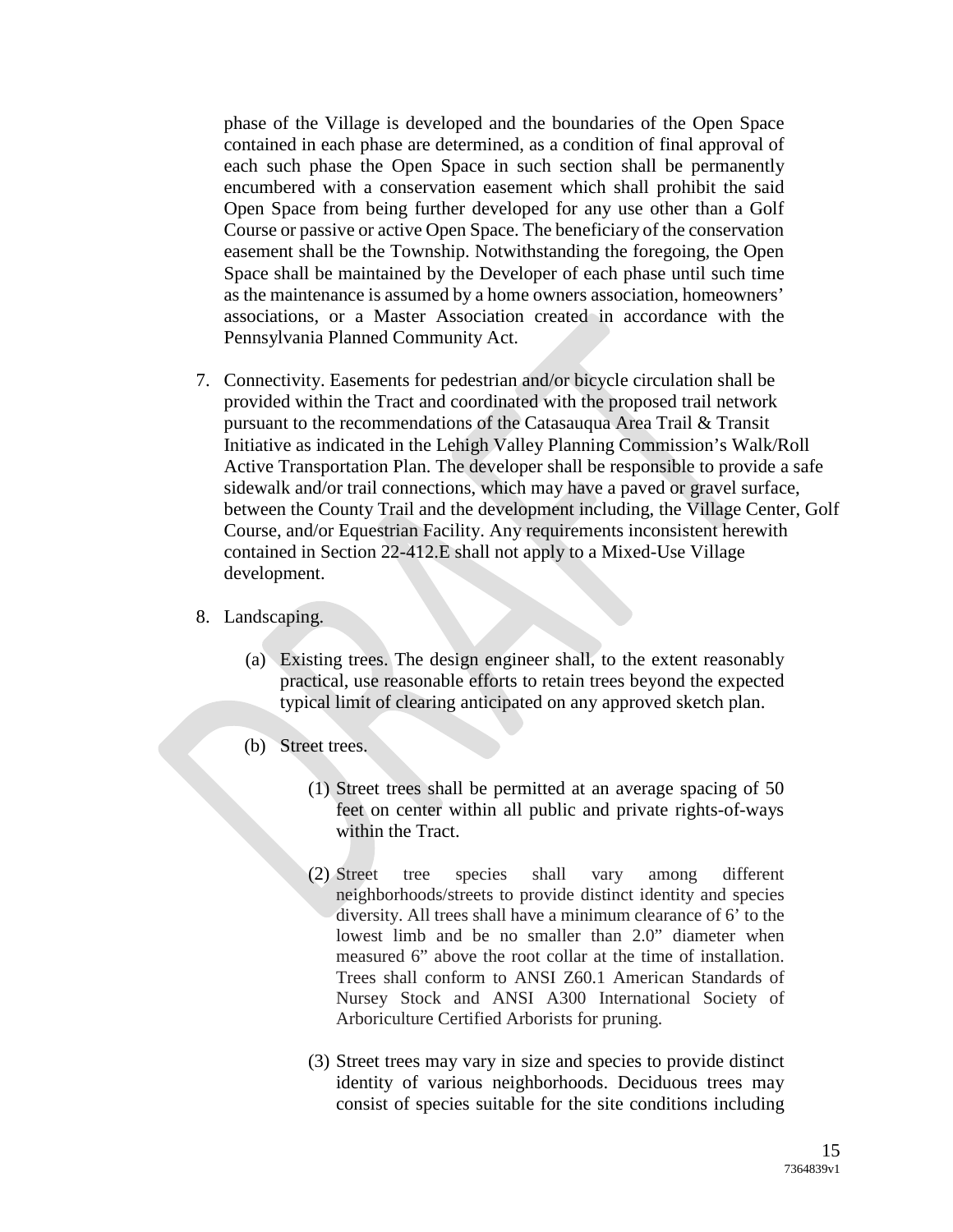phase of the Village is developed and the boundaries of the Open Space contained in each phase are determined, as a condition of final approval of each such phase the Open Space in such section shall be permanently encumbered with a conservation easement which shall prohibit the said Open Space from being further developed for any use other than a Golf Course or passive or active Open Space. The beneficiary of the conservation easement shall be the Township. Notwithstanding the foregoing, the Open Space shall be maintained by the Developer of each phase until such time as the maintenance is assumed by a home owners association, homeowners' associations, or a Master Association created in accordance with the Pennsylvania Planned Community Act.

- 7. Connectivity. Easements for pedestrian and/or bicycle circulation shall be provided within the Tract and coordinated with the proposed trail network pursuant to the recommendations of the Catasauqua Area Trail & Transit Initiative as indicated in the Lehigh Valley Planning Commission's Walk/Roll Active Transportation Plan. The developer shall be responsible to provide a safe sidewalk and/or trail connections, which may have a paved or gravel surface, between the County Trail and the development including, the Village Center, Golf Course, and/or Equestrian Facility. Any requirements inconsistent herewith contained in Section 22-412.E shall not apply to a Mixed-Use Village development.
- 8. Landscaping.
	- (a) Existing trees. The design engineer shall, to the extent reasonably practical, use reasonable efforts to retain trees beyond the expected typical limit of clearing anticipated on any approved sketch plan.
	- (b) Street trees.
		- (1) Street trees shall be permitted at an average spacing of 50 feet on center within all public and private rights-of-ways within the Tract.
		- (2) Street tree species shall vary among different neighborhoods/streets to provide distinct identity and species diversity. All trees shall have a minimum clearance of 6' to the lowest limb and be no smaller than 2.0" diameter when measured 6" above the root collar at the time of installation. Trees shall conform to ANSI Z60.1 American Standards of Nursey Stock and ANSI A300 International Society of Arboriculture Certified Arborists for pruning.
		- (3) Street trees may vary in size and species to provide distinct identity of various neighborhoods. Deciduous trees may consist of species suitable for the site conditions including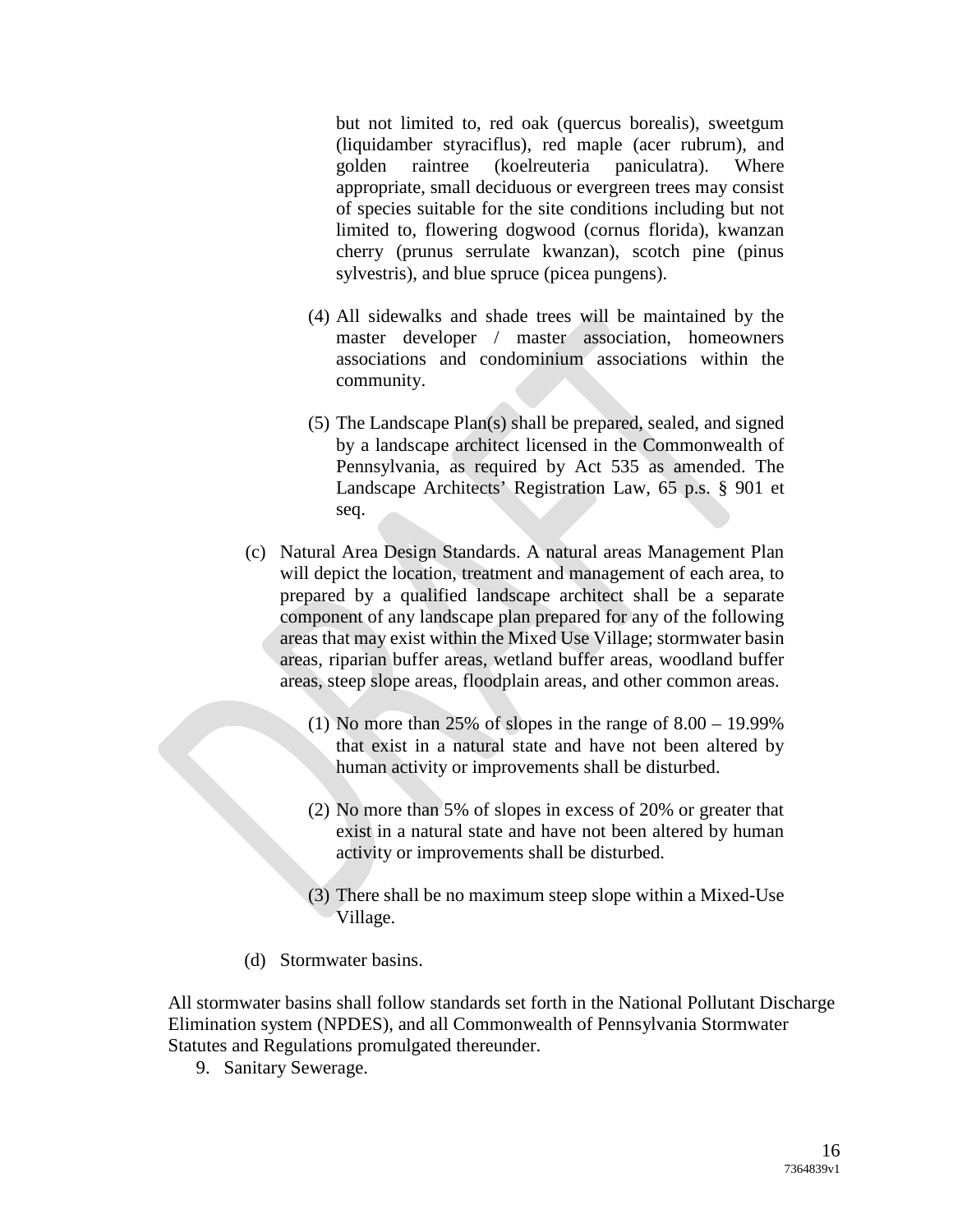but not limited to, red oak (quercus borealis), sweetgum (liquidamber styraciflus), red maple (acer rubrum), and golden raintree (koelreuteria paniculatra). Where appropriate, small deciduous or evergreen trees may consist of species suitable for the site conditions including but not limited to, flowering dogwood (cornus florida), kwanzan cherry (prunus serrulate kwanzan), scotch pine (pinus sylvestris), and blue spruce (picea pungens).

- (4) All sidewalks and shade trees will be maintained by the master developer / master association, homeowners associations and condominium associations within the community.
- (5) The Landscape Plan(s) shall be prepared, sealed, and signed by a landscape architect licensed in the Commonwealth of Pennsylvania, as required by Act 535 as amended. The Landscape Architects' Registration Law, 65 p.s. § 901 et seq.
- (c) Natural Area Design Standards. A natural areas Management Plan will depict the location, treatment and management of each area, to prepared by a qualified landscape architect shall be a separate component of any landscape plan prepared for any of the following areas that may exist within the Mixed Use Village; stormwater basin areas, riparian buffer areas, wetland buffer areas, woodland buffer areas, steep slope areas, floodplain areas, and other common areas.
	- (1) No more than  $25\%$  of slopes in the range of  $8.00 19.99\%$ that exist in a natural state and have not been altered by human activity or improvements shall be disturbed.
	- (2) No more than 5% of slopes in excess of 20% or greater that exist in a natural state and have not been altered by human activity or improvements shall be disturbed.
	- (3) There shall be no maximum steep slope within a Mixed-Use Village.
- (d) Stormwater basins.

All stormwater basins shall follow standards set forth in the National Pollutant Discharge Elimination system (NPDES), and all Commonwealth of Pennsylvania Stormwater Statutes and Regulations promulgated thereunder.

9. Sanitary Sewerage.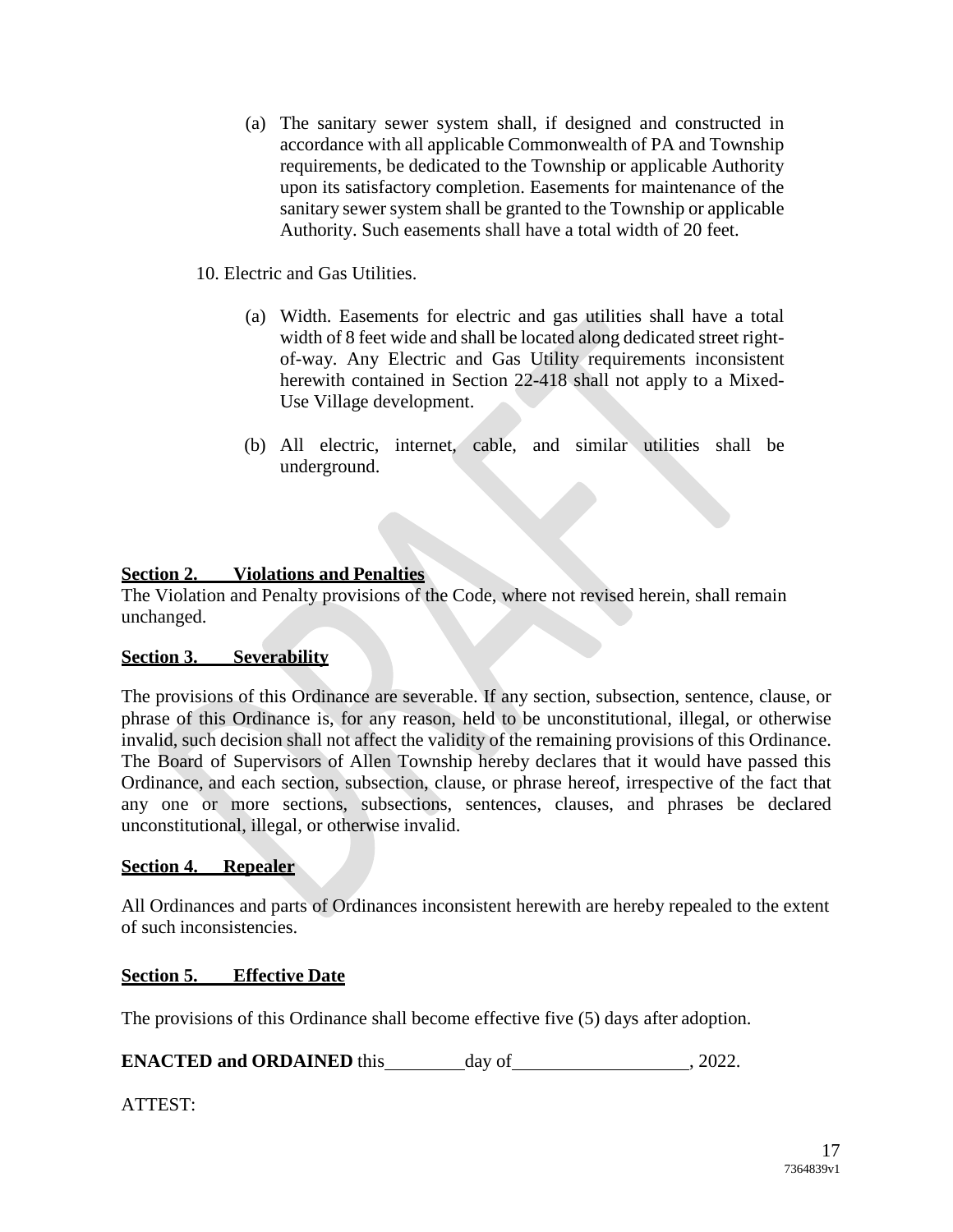(a) The sanitary sewer system shall, if designed and constructed in accordance with all applicable Commonwealth of PA and Township requirements, be dedicated to the Township or applicable Authority upon its satisfactory completion. Easements for maintenance of the sanitary sewer system shall be granted to the Township or applicable Authority. Such easements shall have a total width of 20 feet.

### 10. Electric and Gas Utilities.

- (a) Width. Easements for electric and gas utilities shall have a total width of 8 feet wide and shall be located along dedicated street rightof-way. Any Electric and Gas Utility requirements inconsistent herewith contained in Section 22-418 shall not apply to a Mixed-Use Village development.
- (b) All electric, internet, cable, and similar utilities shall be underground.

## **Section 2. Violations and Penalties**

The Violation and Penalty provisions of the Code, where not revised herein, shall remain unchanged.

### **Section 3. Severability**

The provisions of this Ordinance are severable. If any section, subsection, sentence, clause, or phrase of this Ordinance is, for any reason, held to be unconstitutional, illegal, or otherwise invalid, such decision shall not affect the validity of the remaining provisions of this Ordinance. The Board of Supervisors of Allen Township hereby declares that it would have passed this Ordinance, and each section, subsection, clause, or phrase hereof, irrespective of the fact that any one or more sections, subsections, sentences, clauses, and phrases be declared unconstitutional, illegal, or otherwise invalid.

### **Section 4. Repealer**

All Ordinances and parts of Ordinances inconsistent herewith are hereby repealed to the extent of such inconsistencies.

### **Section 5. Effective Date**

The provisions of this Ordinance shall become effective five (5) days after adoption.

**ENACTED and ORDAINED** this day of 3022.

### ATTEST: